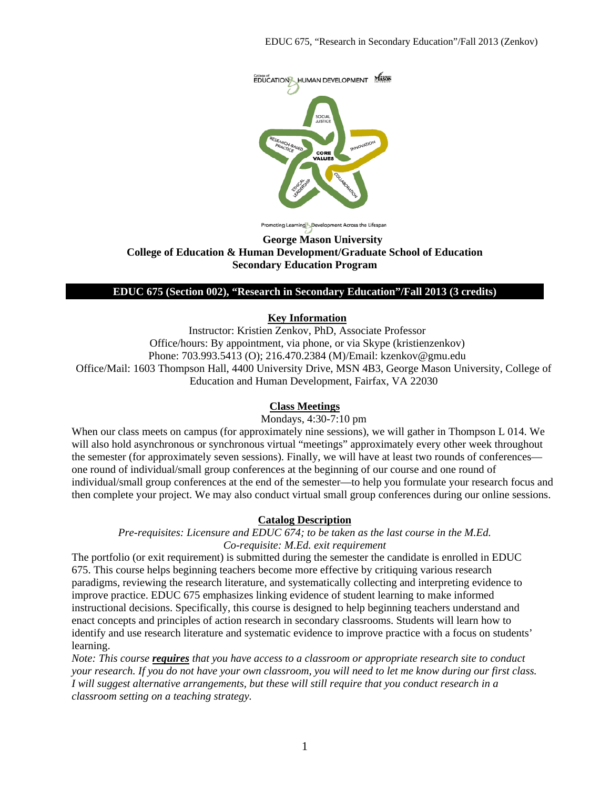

noting Learning Development Across the Lifespan

#### **George Mason University College of Education & Human Development/Graduate School of Education Secondary Education Program**

#### **EDUC 675 (Section 002), "Research in Secondary Education"/Fall 2013 (3 credits)**

#### **Key Information**

Instructor: Kristien Zenkov, PhD, Associate Professor Office/hours: By appointment, via phone, or via Skype (kristienzenkov) Phone: 703.993.5413 (O); 216.470.2384 (M)/Email: kzenkov@gmu.edu Office/Mail: 1603 Thompson Hall, 4400 University Drive, MSN 4B3, George Mason University, College of Education and Human Development, Fairfax, VA 22030

### **Class Meetings**

Mondays, 4:30-7:10 pm

When our class meets on campus (for approximately nine sessions), we will gather in Thompson L 014. We will also hold asynchronous or synchronous virtual "meetings" approximately every other week throughout the semester (for approximately seven sessions). Finally, we will have at least two rounds of conferences one round of individual/small group conferences at the beginning of our course and one round of individual/small group conferences at the end of the semester—to help you formulate your research focus and then complete your project. We may also conduct virtual small group conferences during our online sessions.

#### **Catalog Description**

*Pre-requisites: Licensure and EDUC 674; to be taken as the last course in the M.Ed. Co-requisite: M.Ed. exit requirement*

The portfolio (or exit requirement) is submitted during the semester the candidate is enrolled in EDUC 675. This course helps beginning teachers become more effective by critiquing various research paradigms, reviewing the research literature, and systematically collecting and interpreting evidence to improve practice. EDUC 675 emphasizes linking evidence of student learning to make informed instructional decisions. Specifically, this course is designed to help beginning teachers understand and enact concepts and principles of action research in secondary classrooms. Students will learn how to identify and use research literature and systematic evidence to improve practice with a focus on students' learning.

*Note: This course requires that you have access to a classroom or appropriate research site to conduct your research. If you do not have your own classroom, you will need to let me know during our first class. I will suggest alternative arrangements, but these will still require that you conduct research in a classroom setting on a teaching strategy.*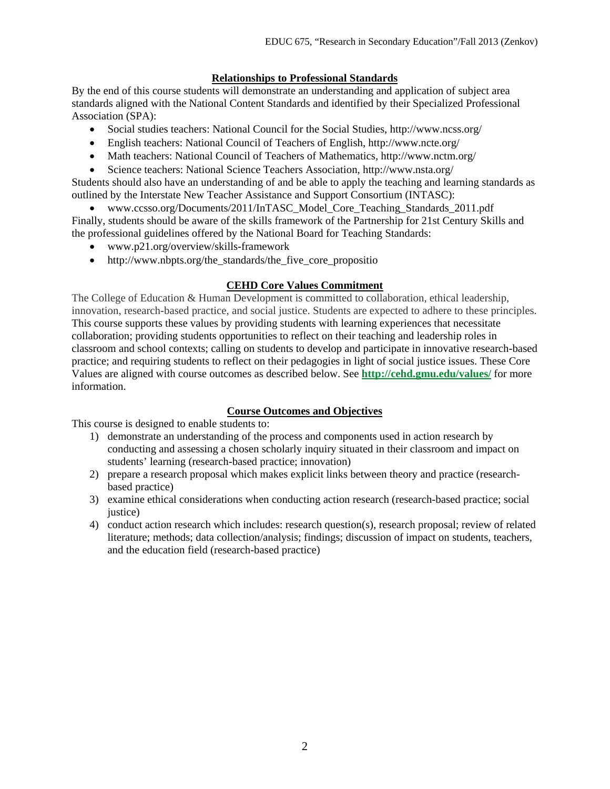## **Relationships to Professional Standards**

By the end of this course students will demonstrate an understanding and application of subject area standards aligned with the National Content Standards and identified by their Specialized Professional Association (SPA):

- Social studies teachers: National Council for the Social Studies, http://www.ncss.org/
- English teachers: National Council of Teachers of English, http://www.ncte.org/
- Math teachers: National Council of Teachers of Mathematics, http://www.nctm.org/
- Science teachers: National Science Teachers Association, http://www.nsta.org/

Students should also have an understanding of and be able to apply the teaching and learning standards as outlined by the Interstate New Teacher Assistance and Support Consortium (INTASC):

• www.ccsso.org/Documents/2011/InTASC\_Model\_Core\_Teaching\_Standards\_2011.pdf Finally, students should be aware of the skills framework of the Partnership for 21st Century Skills and the professional guidelines offered by the National Board for Teaching Standards:

- www.p21.org/overview/skills-framework
- http://www.nbpts.org/the\_standards/the\_five\_core\_propositio

## **CEHD Core Values Commitment**

The College of Education & Human Development is committed to collaboration, ethical leadership, innovation, research-based practice, and social justice. Students are expected to adhere to these principles. This course supports these values by providing students with learning experiences that necessitate collaboration; providing students opportunities to reflect on their teaching and leadership roles in classroom and school contexts; calling on students to develop and participate in innovative research-based practice; and requiring students to reflect on their pedagogies in light of social justice issues. These Core Values are aligned with course outcomes as described below. See **<http://cehd.gmu.edu/values/>** for more information.

## **Course Outcomes and Objectives**

This course is designed to enable students to:

- 1) demonstrate an understanding of the process and components used in action research by conducting and assessing a chosen scholarly inquiry situated in their classroom and impact on students' learning (research-based practice; innovation)
- 2) prepare a research proposal which makes explicit links between theory and practice (researchbased practice)
- 3) examine ethical considerations when conducting action research (research-based practice; social justice)
- 4) conduct action research which includes: research question(s), research proposal; review of related literature; methods; data collection/analysis; findings; discussion of impact on students, teachers, and the education field (research-based practice)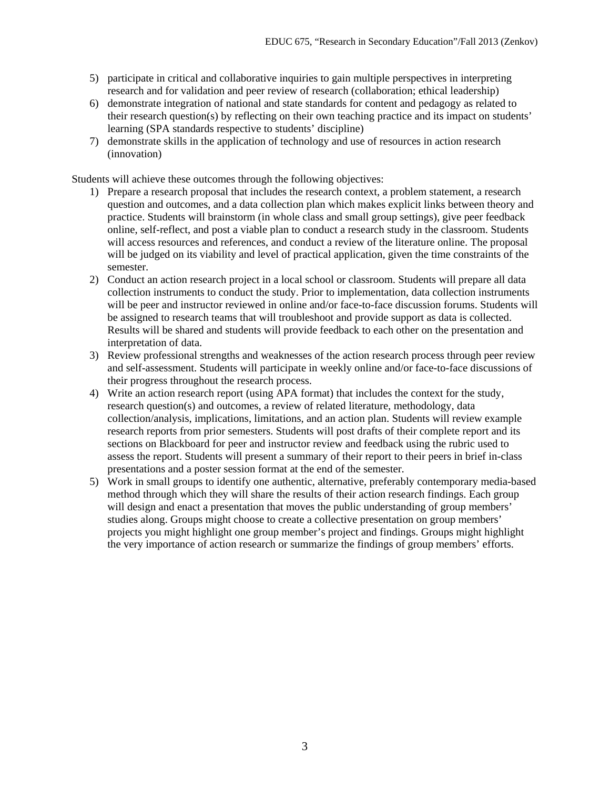- 5) participate in critical and collaborative inquiries to gain multiple perspectives in interpreting research and for validation and peer review of research (collaboration; ethical leadership)
- 6) demonstrate integration of national and state standards for content and pedagogy as related to their research question(s) by reflecting on their own teaching practice and its impact on students' learning (SPA standards respective to students' discipline)
- 7) demonstrate skills in the application of technology and use of resources in action research (innovation)

Students will achieve these outcomes through the following objectives:

- 1) Prepare a research proposal that includes the research context, a problem statement, a research question and outcomes, and a data collection plan which makes explicit links between theory and practice. Students will brainstorm (in whole class and small group settings), give peer feedback online, self-reflect, and post a viable plan to conduct a research study in the classroom. Students will access resources and references, and conduct a review of the literature online. The proposal will be judged on its viability and level of practical application, given the time constraints of the semester.
- 2) Conduct an action research project in a local school or classroom. Students will prepare all data collection instruments to conduct the study. Prior to implementation, data collection instruments will be peer and instructor reviewed in online and/or face-to-face discussion forums. Students will be assigned to research teams that will troubleshoot and provide support as data is collected. Results will be shared and students will provide feedback to each other on the presentation and interpretation of data.
- 3) Review professional strengths and weaknesses of the action research process through peer review and self-assessment. Students will participate in weekly online and/or face-to-face discussions of their progress throughout the research process.
- 4) Write an action research report (using APA format) that includes the context for the study, research question(s) and outcomes, a review of related literature, methodology, data collection/analysis, implications, limitations, and an action plan. Students will review example research reports from prior semesters. Students will post drafts of their complete report and its sections on Blackboard for peer and instructor review and feedback using the rubric used to assess the report. Students will present a summary of their report to their peers in brief in-class presentations and a poster session format at the end of the semester.
- 5) Work in small groups to identify one authentic, alternative, preferably contemporary media-based method through which they will share the results of their action research findings. Each group will design and enact a presentation that moves the public understanding of group members' studies along. Groups might choose to create a collective presentation on group members' projects you might highlight one group member's project and findings. Groups might highlight the very importance of action research or summarize the findings of group members' efforts.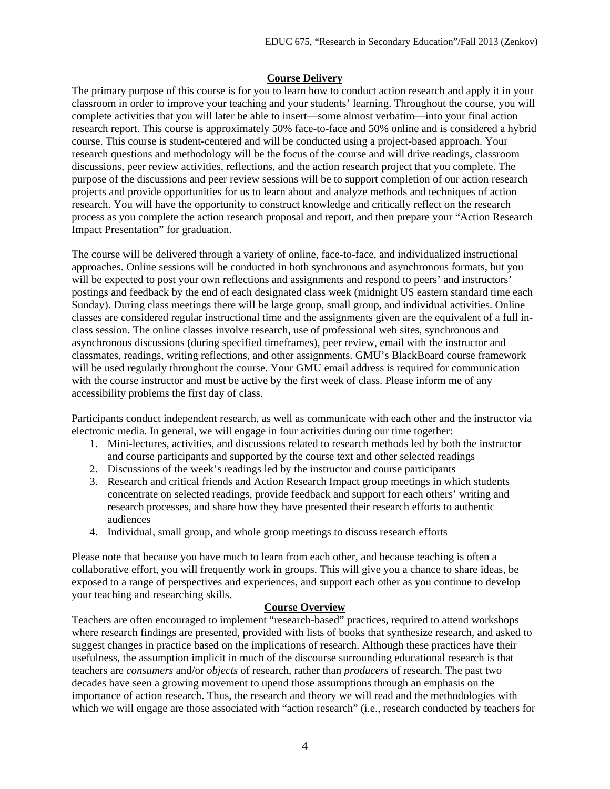## **Course Delivery**

The primary purpose of this course is for you to learn how to conduct action research and apply it in your classroom in order to improve your teaching and your students' learning. Throughout the course, you will complete activities that you will later be able to insert—some almost verbatim—into your final action research report. This course is approximately 50% face-to-face and 50% online and is considered a hybrid course. This course is student-centered and will be conducted using a project-based approach. Your research questions and methodology will be the focus of the course and will drive readings, classroom discussions, peer review activities, reflections, and the action research project that you complete. The purpose of the discussions and peer review sessions will be to support completion of our action research projects and provide opportunities for us to learn about and analyze methods and techniques of action research. You will have the opportunity to construct knowledge and critically reflect on the research process as you complete the action research proposal and report, and then prepare your "Action Research Impact Presentation" for graduation.

The course will be delivered through a variety of online, face-to-face, and individualized instructional approaches. Online sessions will be conducted in both synchronous and asynchronous formats, but you will be expected to post your own reflections and assignments and respond to peers' and instructors' postings and feedback by the end of each designated class week (midnight US eastern standard time each Sunday). During class meetings there will be large group, small group, and individual activities. Online classes are considered regular instructional time and the assignments given are the equivalent of a full inclass session. The online classes involve research, use of professional web sites, synchronous and asynchronous discussions (during specified timeframes), peer review, email with the instructor and classmates, readings, writing reflections, and other assignments. GMU's BlackBoard course framework will be used regularly throughout the course. Your GMU email address is required for communication with the course instructor and must be active by the first week of class. Please inform me of any accessibility problems the first day of class.

Participants conduct independent research, as well as communicate with each other and the instructor via electronic media. In general, we will engage in four activities during our time together:

- 1. Mini-lectures, activities, and discussions related to research methods led by both the instructor and course participants and supported by the course text and other selected readings
- 2. Discussions of the week's readings led by the instructor and course participants
- 3. Research and critical friends and Action Research Impact group meetings in which students concentrate on selected readings, provide feedback and support for each others' writing and research processes, and share how they have presented their research efforts to authentic audiences
- 4. Individual, small group, and whole group meetings to discuss research efforts

Please note that because you have much to learn from each other, and because teaching is often a collaborative effort, you will frequently work in groups. This will give you a chance to share ideas, be exposed to a range of perspectives and experiences, and support each other as you continue to develop your teaching and researching skills.

## **Course Overview**

Teachers are often encouraged to implement "research-based" practices, required to attend workshops where research findings are presented, provided with lists of books that synthesize research, and asked to suggest changes in practice based on the implications of research. Although these practices have their usefulness, the assumption implicit in much of the discourse surrounding educational research is that teachers are *consumers* and/or *objects* of research, rather than *producers* of research. The past two decades have seen a growing movement to upend those assumptions through an emphasis on the importance of action research. Thus, the research and theory we will read and the methodologies with which we will engage are those associated with "action research" (i.e., research conducted by teachers for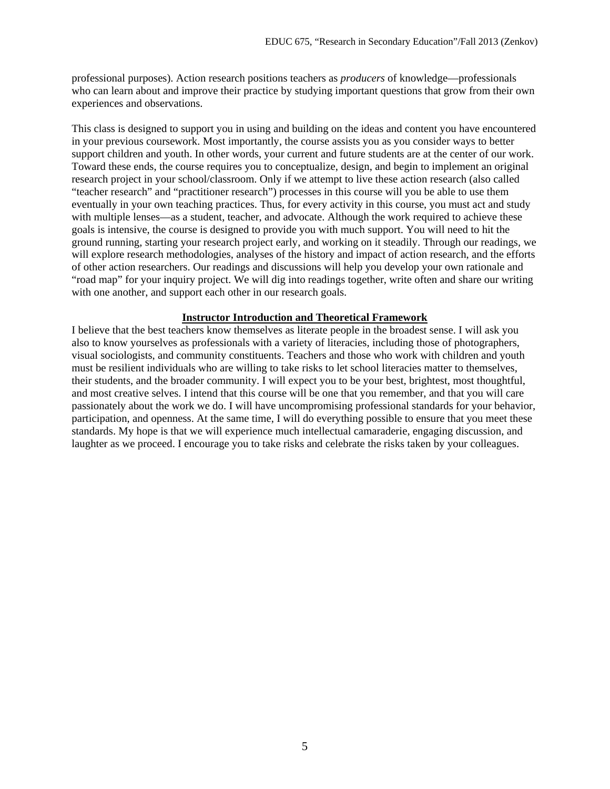professional purposes). Action research positions teachers as *producers* of knowledge—professionals who can learn about and improve their practice by studying important questions that grow from their own experiences and observations.

This class is designed to support you in using and building on the ideas and content you have encountered in your previous coursework. Most importantly, the course assists you as you consider ways to better support children and youth. In other words, your current and future students are at the center of our work. Toward these ends, the course requires you to conceptualize, design, and begin to implement an original research project in your school/classroom. Only if we attempt to live these action research (also called "teacher research" and "practitioner research") processes in this course will you be able to use them eventually in your own teaching practices. Thus, for every activity in this course, you must act and study with multiple lenses—as a student, teacher, and advocate. Although the work required to achieve these goals is intensive, the course is designed to provide you with much support. You will need to hit the ground running, starting your research project early, and working on it steadily. Through our readings, we will explore research methodologies, analyses of the history and impact of action research, and the efforts of other action researchers. Our readings and discussions will help you develop your own rationale and "road map" for your inquiry project. We will dig into readings together, write often and share our writing with one another, and support each other in our research goals.

#### **Instructor Introduction and Theoretical Framework**

I believe that the best teachers know themselves as literate people in the broadest sense. I will ask you also to know yourselves as professionals with a variety of literacies, including those of photographers, visual sociologists, and community constituents. Teachers and those who work with children and youth must be resilient individuals who are willing to take risks to let school literacies matter to themselves, their students, and the broader community. I will expect you to be your best, brightest, most thoughtful, and most creative selves. I intend that this course will be one that you remember, and that you will care passionately about the work we do. I will have uncompromising professional standards for your behavior, participation, and openness. At the same time, I will do everything possible to ensure that you meet these standards. My hope is that we will experience much intellectual camaraderie, engaging discussion, and laughter as we proceed. I encourage you to take risks and celebrate the risks taken by your colleagues.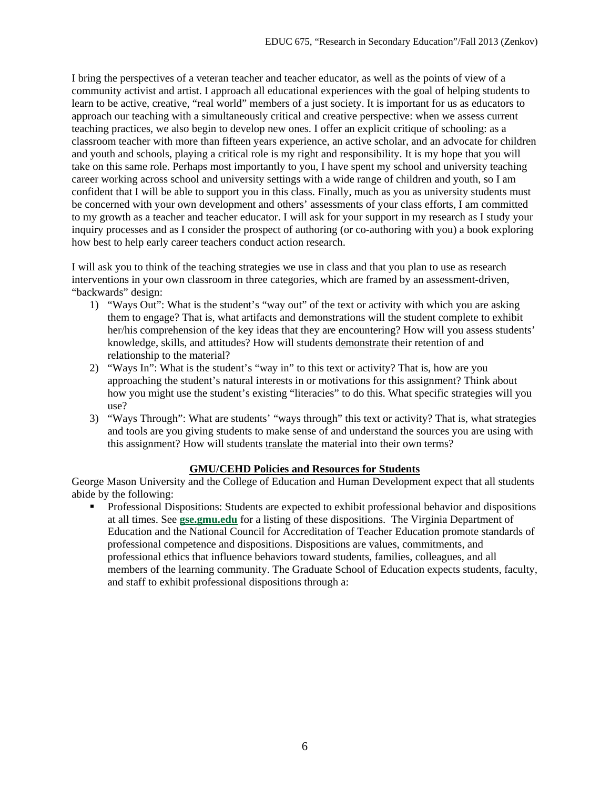I bring the perspectives of a veteran teacher and teacher educator, as well as the points of view of a community activist and artist. I approach all educational experiences with the goal of helping students to learn to be active, creative, "real world" members of a just society. It is important for us as educators to approach our teaching with a simultaneously critical and creative perspective: when we assess current teaching practices, we also begin to develop new ones. I offer an explicit critique of schooling: as a classroom teacher with more than fifteen years experience, an active scholar, and an advocate for children and youth and schools, playing a critical role is my right and responsibility. It is my hope that you will take on this same role. Perhaps most importantly to you, I have spent my school and university teaching career working across school and university settings with a wide range of children and youth, so I am confident that I will be able to support you in this class. Finally, much as you as university students must be concerned with your own development and others' assessments of your class efforts, I am committed to my growth as a teacher and teacher educator. I will ask for your support in my research as I study your inquiry processes and as I consider the prospect of authoring (or co-authoring with you) a book exploring how best to help early career teachers conduct action research.

I will ask you to think of the teaching strategies we use in class and that you plan to use as research interventions in your own classroom in three categories, which are framed by an assessment-driven, "backwards" design:

- 1) "Ways Out": What is the student's "way out" of the text or activity with which you are asking them to engage? That is, what artifacts and demonstrations will the student complete to exhibit her/his comprehension of the key ideas that they are encountering? How will you assess students' knowledge, skills, and attitudes? How will students demonstrate their retention of and relationship to the material?
- 2) "Ways In": What is the student's "way in" to this text or activity? That is, how are you approaching the student's natural interests in or motivations for this assignment? Think about how you might use the student's existing "literacies" to do this. What specific strategies will you use?
- 3) "Ways Through": What are students' "ways through" this text or activity? That is, what strategies and tools are you giving students to make sense of and understand the sources you are using with this assignment? How will students translate the material into their own terms?

## **GMU/CEHD Policies and Resources for Students**

George Mason University and the College of Education and Human Development expect that all students abide by the following:

**Professional Dispositions: Students are expected to exhibit professional behavior and dispositions** at all times. See **[gse.gmu.edu](https://by2prd0510.outlook.com/owa/redir.aspx?C=bcDR-1YfGkmHimyYOu6rz11TnIsCb9AIDGJvWB8bDF6IT0B_7egxPMSuoN_pb45uG3pVrbRPWgA.&URL=http%3a%2f%2fgse.gmu.edu%2f)** for a listing of these dispositions. The Virginia Department of Education and the National Council for Accreditation of Teacher Education promote standards of professional competence and dispositions. Dispositions are values, commitments, and professional ethics that influence behaviors toward students, families, colleagues, and all members of the learning community. The Graduate School of Education expects students, faculty, and staff to exhibit professional dispositions through a: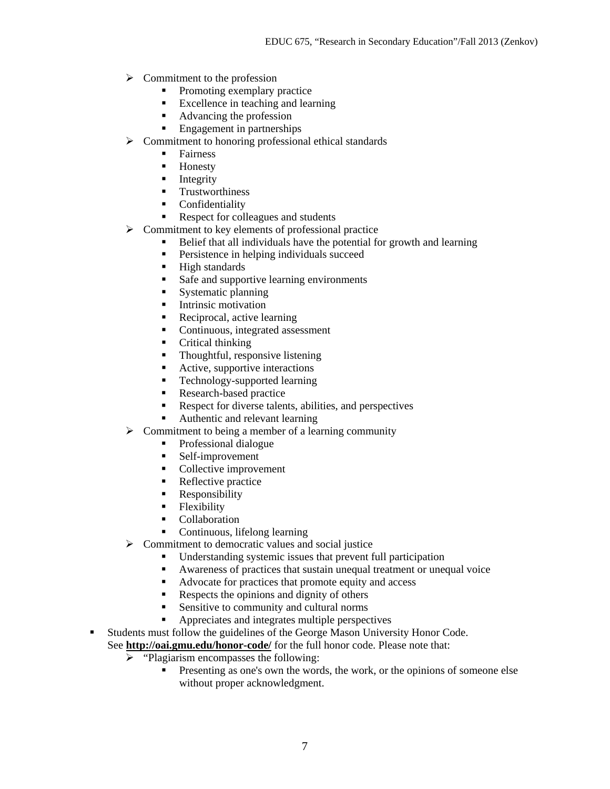- $\triangleright$  Commitment to the profession
	- Promoting exemplary practice
	- Excellence in teaching and learning
	- Advancing the profession
	- **Engagement in partnerships**
- $\triangleright$  Commitment to honoring professional ethical standards
	- **Fairness**
	- **Honesty**
	- $\blacksquare$  Integrity
	- **Trustworthiness**
	- **Confidentiality**
	- Respect for colleagues and students
- $\triangleright$  Commitment to key elements of professional practice
	- Belief that all individuals have the potential for growth and learning
	- **Persistence in helping individuals succeed**
	- **High standards**
	- Safe and supportive learning environments
	- Systematic planning
	- **Intrinsic motivation**
	- Reciprocal, active learning
	- Continuous, integrated assessment
	- Critical thinking
	- Thoughtful, responsive listening
	- Active, supportive interactions
	- **Technology-supported learning**
	- Research-based practice
	- Respect for diverse talents, abilities, and perspectives
	- Authentic and relevant learning
- $\triangleright$  Commitment to being a member of a learning community
	- Professional dialogue
	- Self-improvement
	- Collective improvement
	- Reflective practice
	- **Responsibility**
	- Flexibility
	- Collaboration
	- Continuous, lifelong learning
- $\triangleright$  Commitment to democratic values and social justice
	- Understanding systemic issues that prevent full participation
	- Awareness of practices that sustain unequal treatment or unequal voice
	- Advocate for practices that promote equity and access
	- Respects the opinions and dignity of others
	- Sensitive to community and cultural norms
	- Appreciates and integrates multiple perspectives
- Students must follow the guidelines of the George Mason University Honor Code.

See **<http://oai.gmu.edu/honor-code/>** for the full honor code. Please note that:

- $\triangleright$  "Plagiarism encompasses the following:
	- **Presenting as one's own the words, the work, or the opinions of someone else** without proper acknowledgment.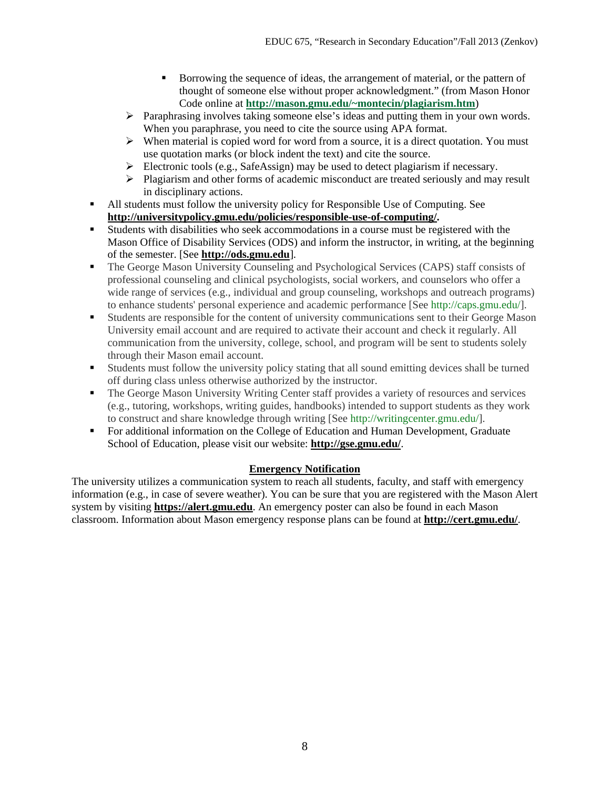- Borrowing the sequence of ideas, the arrangement of material, or the pattern of thought of someone else without proper acknowledgment." (from Mason Honor Code online at **[http://mason.gmu.edu/~montecin/plagiarism.htm](https://by2prd0510.outlook.com/owa/redir.aspx?C=bcDR-1YfGkmHimyYOu6rz11TnIsCb9AIDGJvWB8bDF6IT0B_7egxPMSuoN_pb45uG3pVrbRPWgA.&URL=http%3a%2f%2fmason.gmu.edu%2f%7emontecin%2fplagiarism.htm)**)
- $\triangleright$  Paraphrasing involves taking someone else's ideas and putting them in your own words. When you paraphrase, you need to cite the source using APA format.
- $\triangleright$  When material is copied word for word from a source, it is a direct quotation. You must use quotation marks (or block indent the text) and cite the source.
- Electronic tools (e.g., SafeAssign) may be used to detect plagiarism if necessary.
- $\triangleright$  Plagiarism and other forms of academic misconduct are treated seriously and may result in disciplinary actions.
- All students must follow the university policy for Responsible Use of Computing. See **[http://universitypolicy.gmu.edu/policies/responsible-use-of-computing/.](http://universitypolicy.gmu.edu/policies/responsible-use-of-computing/)**
- Students with disabilities who seek accommodations in a course must be registered with the Mason Office of Disability Services (ODS) and inform the instructor, in writing, at the beginning of the semester. [See **[http://ods.gmu.edu](http://ods.gmu.edu/)**].
- The George Mason University Counseling and Psychological Services (CAPS) staff consists of professional counseling and clinical psychologists, social workers, and counselors who offer a wide range of services (e.g., individual and group counseling, workshops and outreach programs) to enhance students' personal experience and academic performance [See [http://caps.gmu.edu/\]](http://caps.gmu.edu/).
- Students are responsible for the content of university communications sent to their George Mason University email account and are required to activate their account and check it regularly. All communication from the university, college, school, and program will be sent to students solely through their Mason email account.
- Students must follow the university policy stating that all sound emitting devices shall be turned off during class unless otherwise authorized by the instructor.
- The George Mason University Writing Center staff provides a variety of resources and services (e.g., tutoring, workshops, writing guides, handbooks) intended to support students as they work to construct and share knowledge through writing [See [http://writingcenter.gmu.edu/\]](http://writingcenter.gmu.edu/).
- For additional information on the College of Education and Human Development, Graduate School of Education, please visit our website: **<http://gse.gmu.edu/>**.

## **Emergency Notification**

The university utilizes a communication system to reach all students, faculty, and staff with emergency information (e.g., in case of severe weather). You can be sure that you are registered with the Mason Alert system by visiting **[https://alert.gmu.edu](https://alert.gmu.edu/)**. An emergency poster can also be found in each Mason classroom. Information about Mason emergency response plans can be found at **<http://cert.gmu.edu/>**.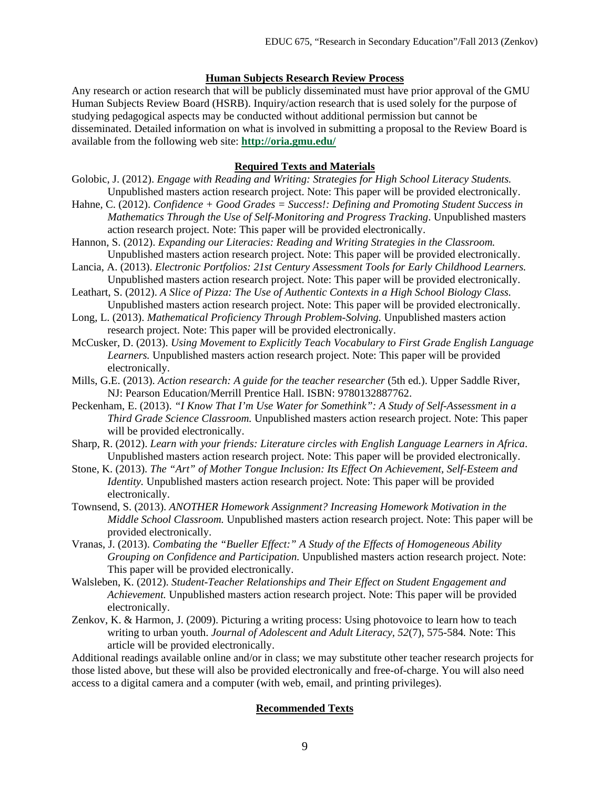#### **Human Subjects Research Review Process**

Any research or action research that will be publicly disseminated must have prior approval of the GMU Human Subjects Review Board (HSRB). Inquiry/action research that is used solely for the purpose of studying pedagogical aspects may be conducted without additional permission but cannot be disseminated. Detailed information on what is involved in submitting a proposal to the Review Board is available from the following web site: **<http://oria.gmu.edu/>**

#### **Required Texts and Materials**

- Golobic, J. (2012). *Engage with Reading and Writing: Strategies for High School Literacy Students.*  Unpublished masters action research project. Note: This paper will be provided electronically.
- Hahne, C. (2012). *Confidence + Good Grades = Success!: Defining and Promoting Student Success in Mathematics Through the Use of Self-Monitoring and Progress Tracking*. Unpublished masters action research project. Note: This paper will be provided electronically.
- Hannon, S. (2012). *Expanding our Literacies: Reading and Writing Strategies in the Classroom.* Unpublished masters action research project. Note: This paper will be provided electronically.
- Lancia, A. (2013). *Electronic Portfolios: 21st Century Assessment Tools for Early Childhood Learners.* Unpublished masters action research project. Note: This paper will be provided electronically.
- Leathart, S. (2012). *A Slice of Pizza: The Use of Authentic Contexts in a High School Biology Class.* Unpublished masters action research project. Note: This paper will be provided electronically.
- Long, L. (2013). *Mathematical Proficiency Through Problem-Solving.* Unpublished masters action research project. Note: This paper will be provided electronically.
- McCusker, D. (2013). *Using Movement to Explicitly Teach Vocabulary to First Grade English Language Learners.* Unpublished masters action research project. Note: This paper will be provided electronically.
- Mills, G.E. (2013). *Action research: A guide for the teacher researcher* (5th ed.). Upper Saddle River, NJ: Pearson Education/Merrill Prentice Hall. ISBN: 9780132887762.
- Peckenham, E. (2013). *"I Know That I'm Use Water for Somethink": A Study of Self-Assessment in a Third Grade Science Classroom.* Unpublished masters action research project. Note: This paper will be provided electronically.
- Sharp, R. (2012). *Learn with your friends: Literature circles with English Language Learners in Africa*. Unpublished masters action research project. Note: This paper will be provided electronically.
- Stone, K. (2013). *The "Art" of Mother Tongue Inclusion: Its Effect On Achievement, Self-Esteem and Identity.* Unpublished masters action research project. Note: This paper will be provided electronically.
- Townsend, S. (2013). *ANOTHER Homework Assignment? Increasing Homework Motivation in the Middle School Classroom.* Unpublished masters action research project. Note: This paper will be provided electronically.
- Vranas, J. (2013). *Combating the "Bueller Effect:" A Study of the Effects of Homogeneous Ability Grouping on Confidence and Participation.* Unpublished masters action research project. Note: This paper will be provided electronically.
- Walsleben, K. (2012). *Student-Teacher Relationships and Their Effect on Student Engagement and Achievement.* Unpublished masters action research project. Note: This paper will be provided electronically.
- Zenkov, K. & Harmon, J. (2009). Picturing a writing process: Using photovoice to learn how to teach writing to urban youth. *Journal of Adolescent and Adult Literacy, 52*(7), 575-584*.* Note: This article will be provided electronically.

Additional readings available online and/or in class; we may substitute other teacher research projects for those listed above, but these will also be provided electronically and free-of-charge. You will also need access to a digital camera and a computer (with web, email, and printing privileges).

#### **Recommended Texts**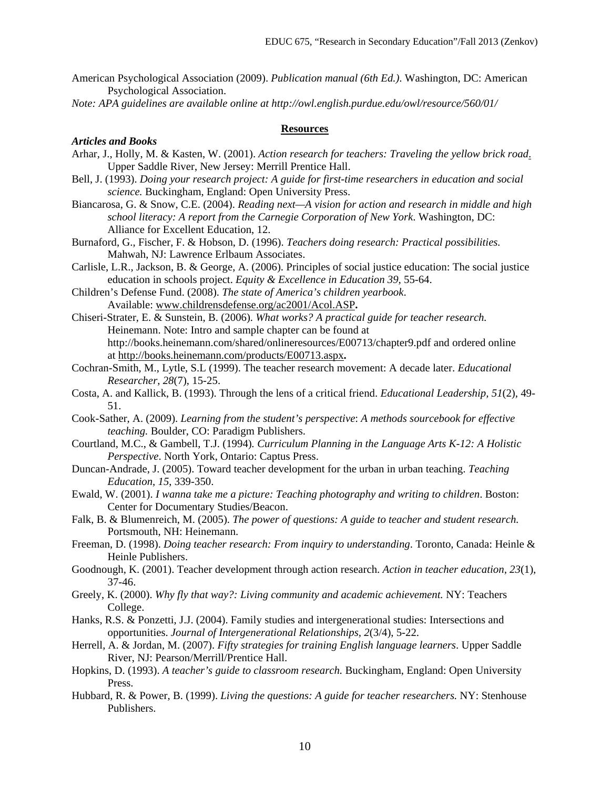- American Psychological Association (2009). *Publication manual (6th Ed.)*. Washington, DC: American Psychological Association.
- *Note: APA guidelines are available online at http://owl.english.purdue.edu/owl/resource/560/01/*

#### **Resources**

#### *Articles and Books*

- Arhar, J., Holly, M. & Kasten, W. (2001). *Action research for teachers: Traveling the yellow brick road*. Upper Saddle River, New Jersey: Merrill Prentice Hall.
- Bell, J. (1993). *Doing your research project: A guide for first-time researchers in education and social science.* Buckingham, England: Open University Press.
- Biancarosa, G. & Snow, C.E. (2004). *Reading next—A vision for action and research in middle and high school literacy: A report from the Carnegie Corporation of New York*. Washington, DC: Alliance for Excellent Education, 12.
- Burnaford, G., Fischer, F. & Hobson, D. (1996). *Teachers doing research: Practical possibilities.* Mahwah, NJ: Lawrence Erlbaum Associates.
- Carlisle, L.R., Jackson, B. & George, A. (2006). Principles of social justice education: The social justice education in schools project. *Equity & Excellence in Education 39,* 55-64.
- Children's Defense Fund. (2008). *The state of America's children yearbook*. Available: [www.childrensdefense.org/ac2001/Acol.ASP](http://www.childrensdefense.org/ac2001/Acol.ASP)**.**
- Chiseri-Strater, E. & Sunstein, B. (2006). *What works? A practical guide for teacher research.*  Heinemann. Note: Intro and sample chapter can be found at http://books.heinemann.com/shared/onlineresources/E00713/chapter9.pdf and ordered online at<http://books.heinemann.com/products/E00713.aspx>**.**
- Cochran-Smith, M., Lytle, S.L (1999). The teacher research movement: A decade later. *Educational Researcher, 28*(7), 15-25.
- Costa, A. and Kallick, B. (1993). Through the lens of a critical friend. *Educational Leadership, 51*(2), 49- 51.
- Cook-Sather, A. (2009). *Learning from the student's perspective*: *A methods sourcebook for effective teaching.* Boulder, CO: Paradigm Publishers.
- Courtland, M.C., & Gambell, T.J. (1994)*. Curriculum Planning in the Language Arts K-12: A Holistic Perspective*. North York, Ontario: Captus Press.
- Duncan-Andrade, J. (2005). Toward teacher development for the urban in urban teaching. *Teaching Education, 15*, 339-350.
- Ewald, W. (2001). *I wanna take me a picture: Teaching photography and writing to children*. Boston: Center for Documentary Studies/Beacon.
- Falk, B. & Blumenreich, M. (2005). *The power of questions: A guide to teacher and student research.*  Portsmouth, NH: Heinemann.
- Freeman, D. (1998). *Doing teacher research: From inquiry to understanding*. Toronto, Canada: Heinle & Heinle Publishers.
- Goodnough, K. (2001). Teacher development through action research. *Action in teacher education, 23*(1), 37-46.
- Greely, K. (2000). *Why fly that way?: Living community and academic achievement.* NY: Teachers College.
- Hanks, R.S. & Ponzetti, J.J. (2004). Family studies and intergenerational studies: Intersections and opportunities. *Journal of Intergenerational Relationships, 2*(3/4), 5-22.
- Herrell, A. & Jordan, M. (2007). *Fifty strategies for training English language learners*. Upper Saddle River, NJ: Pearson/Merrill/Prentice Hall.
- Hopkins, D. (1993). *A teacher's guide to classroom research.* Buckingham, England: Open University Press.
- Hubbard, R. & Power, B. (1999). *Living the questions: A guide for teacher researchers.* NY: Stenhouse Publishers.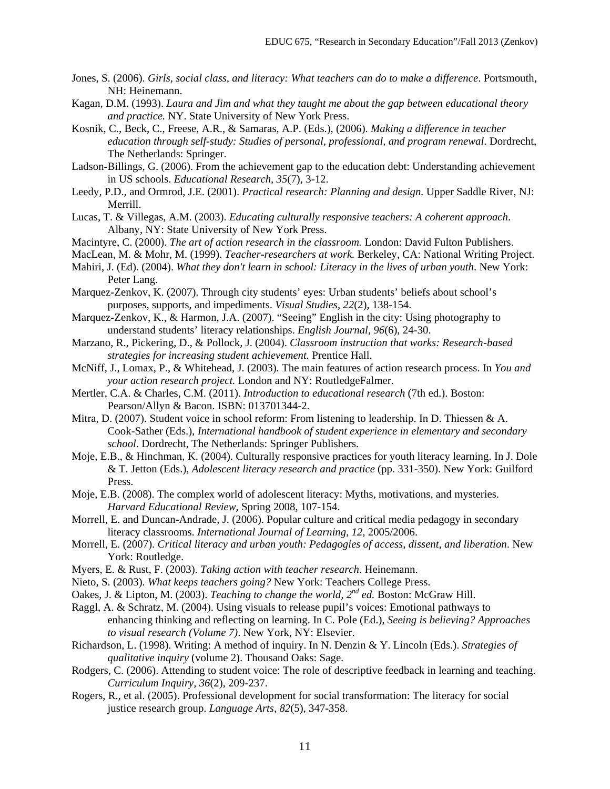- Jones, S. (2006). *Girls, social class, and literacy: What teachers can do to make a difference*. Portsmouth, NH: Heinemann.
- Kagan, D.M. (1993). *Laura and Jim and what they taught me about the gap between educational theory and practice.* NY. State University of New York Press.
- Kosnik, C., Beck, C., Freese, A.R., & Samaras, A.P. (Eds.), (2006). *Making a difference in teacher education through self-study: Studies of personal, professional, and program renewal*. Dordrecht, The Netherlands: Springer.
- Ladson-Billings, G. (2006). From the achievement gap to the education debt: Understanding achievement in US schools. *Educational Research, 35*(7), 3-12.
- Leedy, P.D., and Ormrod, J.E. (2001). *Practical research: Planning and design.* Upper Saddle River, NJ: Merrill.
- Lucas, T. & Villegas, A.M. (2003). *Educating culturally responsive teachers: A coherent approach*. Albany, NY: State University of New York Press.
- Macintyre, C. (2000). *The art of action research in the classroom.* London: David Fulton Publishers.
- MacLean, M. & Mohr, M. (1999). *Teacher-researchers at work.* Berkeley, CA: National Writing Project.
- Mahiri, J. (Ed). (2004). *What they don't learn in school: Literacy in the lives of urban youth*. New York: Peter Lang.
- Marquez-Zenkov, K. (2007). Through city students' eyes: Urban students' beliefs about school's purposes, supports, and impediments. *Visual Studies, 22*(2), 138-154.
- Marquez-Zenkov, K., & Harmon, J.A. (2007). "Seeing" English in the city: Using photography to understand students' literacy relationships. *English Journal, 96*(6), 24-30.
- Marzano, R., Pickering, D., & Pollock, J. (2004). *Classroom instruction that works: Research-based strategies for increasing student achievement.* Prentice Hall.
- McNiff, J., Lomax, P., & Whitehead, J. (2003). The main features of action research process. In *You and your action research project.* London and NY: RoutledgeFalmer.
- Mertler, C.A. & Charles, C.M. (2011). *Introduction to educational research* (7th ed.). Boston: Pearson/Allyn & Bacon. ISBN: 013701344-2.
- Mitra, D. (2007). Student voice in school reform: From listening to leadership. In D. Thiessen & A. Cook-Sather (Eds.), *International handbook of student experience in elementary and secondary school*. Dordrecht, The Netherlands: Springer Publishers.
- Moje, E.B., & Hinchman, K. (2004). Culturally responsive practices for youth literacy learning. In J. Dole & T. Jetton (Eds.), *Adolescent literacy research and practice* (pp. 331-350). New York: Guilford Press.
- Moje, E.B. (2008). The complex world of adolescent literacy: Myths, motivations, and mysteries. *Harvard Educational Review*, Spring 2008, 107-154.
- Morrell, E. and Duncan-Andrade, J. (2006). Popular culture and critical media pedagogy in secondary literacy classrooms. *International Journal of Learning, 12*, 2005/2006.
- Morrell, E. (2007). *Critical literacy and urban youth: Pedagogies of access, dissent, and liberation*. New York: Routledge.
- Myers, E. & Rust, F. (2003). *Taking action with teacher research*. Heinemann.
- Nieto, S. (2003). *What keeps teachers going?* New York: Teachers College Press.
- Oakes, J. & Lipton, M. (2003). *Teaching to change the world, 2nd ed.* Boston: McGraw Hill.
- Raggl, A. & Schratz, M. (2004). Using visuals to release pupil's voices: Emotional pathways to enhancing thinking and reflecting on learning. In C. Pole (Ed.), *Seeing is believing? Approaches to visual research (Volume 7)*. New York, NY: Elsevier.
- Richardson, L. (1998). Writing: A method of inquiry. In N. Denzin & Y. Lincoln (Eds.). *Strategies of qualitative inquiry* (volume 2). Thousand Oaks: Sage.
- Rodgers, C. (2006). Attending to student voice: The role of descriptive feedback in learning and teaching. *Curriculum Inquiry, 36*(2), 209-237.
- Rogers, R., et al. (2005). Professional development for social transformation: The literacy for social justice research group. *Language Arts, 82*(5), 347-358.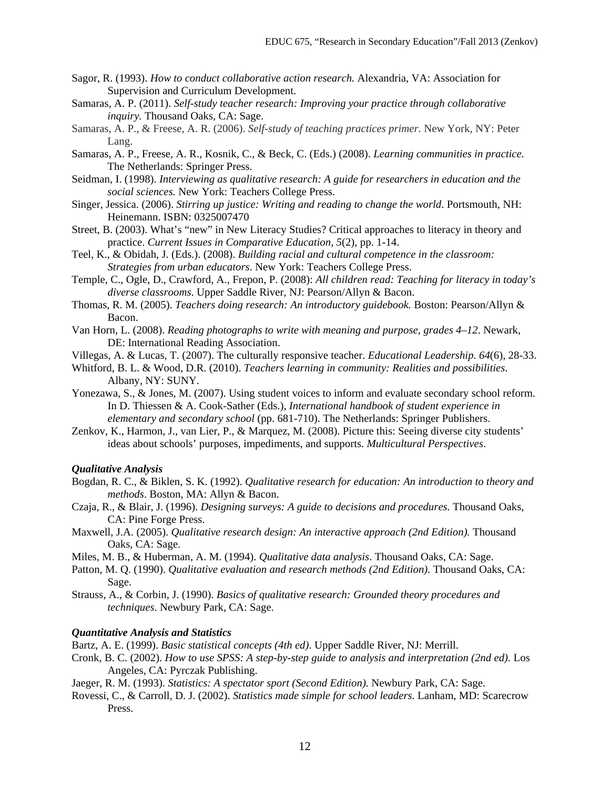- Sagor, R. (1993). *How to conduct collaborative action research.* Alexandria, VA: Association for Supervision and Curriculum Development.
- Samaras, A. P. (2011). *Self-study teacher research: Improving your practice through collaborative inquiry.* Thousand Oaks, CA: Sage.
- Samaras, A. P., & Freese, A. R. (2006). *Self-study of teaching practices primer.* New York, NY: Peter Lang.
- Samaras, A. P., Freese, A. R., Kosnik, C., & Beck, C. (Eds.) (2008). *Learning communities in practice.*  The Netherlands: Springer Press.
- Seidman, I. (1998). *Interviewing as qualitative research: A guide for researchers in education and the social sciences.* New York: Teachers College Press.
- Singer, Jessica. (2006). *Stirring up justice: Writing and reading to change the world*. Portsmouth, NH: Heinemann. ISBN: 0325007470
- Street, B. (2003). What's "new" in New Literacy Studies? Critical approaches to literacy in theory and practice. *Current Issues in Comparative Education, 5*(2), pp. 1-14.
- Teel, K., & Obidah, J. (Eds.). (2008). *Building racial and cultural competence in the classroom: Strategies from urban educators*. New York: Teachers College Press.
- Temple, C., Ogle, D., Crawford, A., Frepon, P. (2008): *All children read: Teaching for literacy in today's diverse classrooms*. Upper Saddle River, NJ: Pearson/Allyn & Bacon.
- Thomas, R. M. (2005). *Teachers doing research: An introductory guidebook.* Boston: Pearson/Allyn & Bacon.
- Van Horn, L. (2008). *Reading photographs to write with meaning and purpose, grades 4–12*. Newark, DE: International Reading Association.
- Villegas, A. & Lucas, T. (2007). The culturally responsive teacher. *Educational Leadership. 64*(6), 28-33.
- Whitford, B. L. & Wood, D.R. (2010). *Teachers learning in community: Realities and possibilities*. Albany, NY: SUNY.
- Yonezawa, S., & Jones, M. (2007). Using student voices to inform and evaluate secondary school reform. In D. Thiessen & A. Cook-Sather (Eds.), *International handbook of student experience in elementary and secondary school* (pp. 681-710). The Netherlands: Springer Publishers.
- Zenkov, K., Harmon, J., van Lier, P., & Marquez, M. (2008). Picture this: Seeing diverse city students' ideas about schools' purposes, impediments, and supports. *Multicultural Perspectives*.

#### *Qualitative Analysis*

- Bogdan, R. C., & Biklen, S. K. (1992). *Qualitative research for education: An introduction to theory and methods*. Boston, MA: Allyn & Bacon.
- Czaja, R., & Blair, J. (1996). *Designing surveys: A guide to decisions and procedures.* Thousand Oaks, CA: Pine Forge Press.
- Maxwell, J.A. (2005). *Qualitative research design: An interactive approach (2nd Edition).* Thousand Oaks, CA: Sage.
- Miles, M. B., & Huberman, A. M. (1994). *Qualitative data analysis*. Thousand Oaks, CA: Sage.
- Patton, M. Q. (1990). *Qualitative evaluation and research methods (2nd Edition)*. Thousand Oaks, CA: Sage.
- Strauss, A., & Corbin, J. (1990). *Basics of qualitative research: Grounded theory procedures and techniques*. Newbury Park, CA: Sage.

#### *Quantitative Analysis and Statistics*

Bartz, A. E. (1999). *Basic statistical concepts (4th ed)*. Upper Saddle River, NJ: Merrill.

- Cronk, B. C. (2002). *How to use SPSS: A step-by-step guide to analysis and interpretation (2nd ed).* Los Angeles, CA: Pyrczak Publishing.
- Jaeger, R. M. (1993). *Statistics: A spectator sport (Second Edition).* Newbury Park, CA: Sage.
- Rovessi, C., & Carroll, D. J. (2002). *Statistics made simple for school leaders.* Lanham, MD: Scarecrow Press.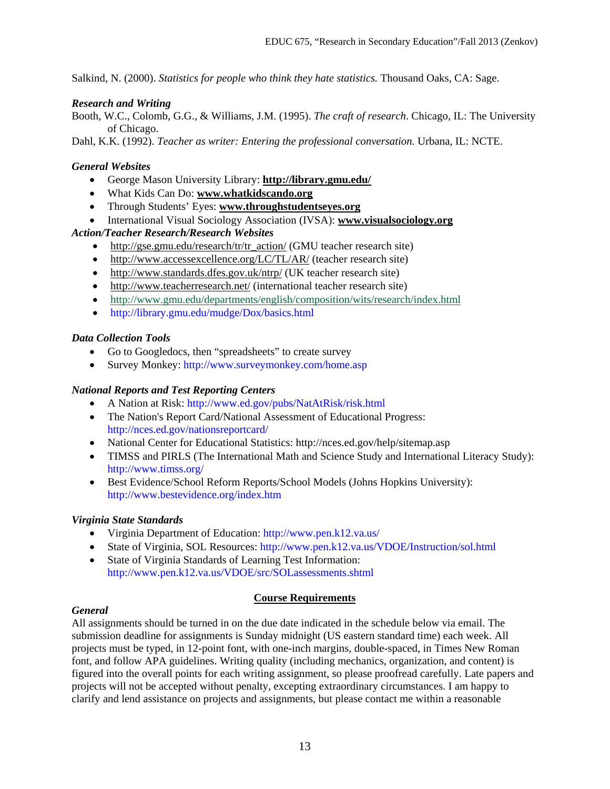Salkind, N. (2000). *Statistics for people who think they hate statistics.* Thousand Oaks, CA: Sage.

## *Research and Writing*

Booth, W.C., Colomb, G.G., & Williams, J.M. (1995). *The craft of research*. Chicago, IL: The University of Chicago.

Dahl, K.K. (1992). *Teacher as writer: Entering the professional conversation.* Urbana, IL: NCTE.

## *General Websites*

- George Mason University Library: **<http://library.gmu.edu/>**
- What Kids Can Do: **[www.whatkidscando.org](http://www.whatkidscando.org/)**
- Through Students' Eyes: **[www.throughstudentseyes.org](http://www.throughstudentseyes.org/)**
- International Visual Sociology Association (IVSA): **[www.visualsociology.org](http://www.visualsociology.org/)**

## *Action/Teacher Research/Research Websites*

- [http://gse.gmu.edu/research/tr/tr\\_action/](http://gse.gmu.edu/research/tr/tr_action/) (GMU teacher research site)
- <http://www.accessexcellence.org/LC/TL/AR/> (teacher research site)
- <http://www.standards.dfes.gov.uk/ntrp/> (UK teacher research site)
- <http://www.teacherresearch.net/> (international teacher research site)
- <http://www.gmu.edu/departments/english/composition/wits/research/index.html>
- http://library.gmu.edu/mudge/Dox/basics.html

## *Data Collection Tools*

- Go to Googledocs, then "spreadsheets" to create survey
- Survey Monkey: http://www.surveymonkey.com/home.asp

### *National Reports and Test Reporting Centers*

- A Nation at Risk: http://www.ed.gov/pubs/NatAtRisk/risk.html
- The Nation's Report Card/National Assessment of Educational Progress: http://nces.ed.gov/nationsreportcard/
- National Center for Educational Statistics: http://nces.ed.gov/help/sitemap.asp
- TIMSS and PIRLS (The International Math and Science Study and International Literacy Study): http://www.timss.org/
- Best Evidence/School Reform Reports/School Models (Johns Hopkins University): http://www.bestevidence.org/index.htm

## *Virginia State Standards*

- Virginia Department of Education: http://www.pen.k12.va.us/
- State of Virginia, SOL Resources: http://www.pen.k12.va.us/VDOE/Instruction/sol.html
- State of Virginia Standards of Learning Test Information: http://www.pen.k12.va.us/VDOE/src/SOLassessments.shtml

#### **Course Requirements**

#### *General*

All assignments should be turned in on the due date indicated in the schedule below via email. The submission deadline for assignments is Sunday midnight (US eastern standard time) each week. All projects must be typed, in 12-point font, with one-inch margins, double-spaced, in Times New Roman font, and follow APA guidelines. Writing quality (including mechanics, organization, and content) is figured into the overall points for each writing assignment, so please proofread carefully. Late papers and projects will not be accepted without penalty, excepting extraordinary circumstances. I am happy to clarify and lend assistance on projects and assignments, but please contact me within a reasonable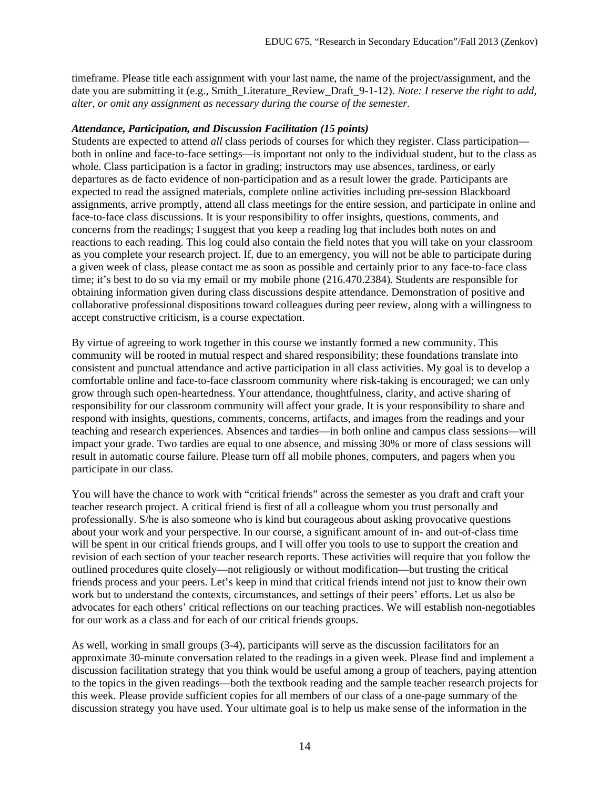timeframe. Please title each assignment with your last name, the name of the project/assignment, and the date you are submitting it (e.g., Smith\_Literature\_Review\_Draft\_9-1-12). *Note: I reserve the right to add, alter, or omit any assignment as necessary during the course of the semester.*

#### *Attendance, Participation, and Discussion Facilitation (15 points)*

Students are expected to attend *all* class periods of courses for which they register. Class participation both in online and face-to-face settings—is important not only to the individual student, but to the class as whole. Class participation is a factor in grading; instructors may use absences, tardiness, or early departures as de facto evidence of non-participation and as a result lower the grade. Participants are expected to read the assigned materials, complete online activities including pre-session Blackboard assignments, arrive promptly, attend all class meetings for the entire session, and participate in online and face-to-face class discussions. It is your responsibility to offer insights, questions, comments, and concerns from the readings; I suggest that you keep a reading log that includes both notes on and reactions to each reading. This log could also contain the field notes that you will take on your classroom as you complete your research project. If, due to an emergency, you will not be able to participate during a given week of class, please contact me as soon as possible and certainly prior to any face-to-face class time; it's best to do so via my email or my mobile phone (216.470.2384). Students are responsible for obtaining information given during class discussions despite attendance. Demonstration of positive and collaborative professional dispositions toward colleagues during peer review, along with a willingness to accept constructive criticism, is a course expectation.

By virtue of agreeing to work together in this course we instantly formed a new community. This community will be rooted in mutual respect and shared responsibility; these foundations translate into consistent and punctual attendance and active participation in all class activities. My goal is to develop a comfortable online and face-to-face classroom community where risk-taking is encouraged; we can only grow through such open-heartedness. Your attendance, thoughtfulness, clarity, and active sharing of responsibility for our classroom community will affect your grade. It is your responsibility to share and respond with insights, questions, comments, concerns, artifacts, and images from the readings and your teaching and research experiences. Absences and tardies—in both online and campus class sessions—will impact your grade. Two tardies are equal to one absence, and missing 30% or more of class sessions will result in automatic course failure. Please turn off all mobile phones, computers, and pagers when you participate in our class.

You will have the chance to work with "critical friends" across the semester as you draft and craft your teacher research project. A critical friend is first of all a colleague whom you trust personally and professionally. S/he is also someone who is kind but courageous about asking provocative questions about your work and your perspective. In our course, a significant amount of in- and out-of-class time will be spent in our critical friends groups, and I will offer you tools to use to support the creation and revision of each section of your teacher research reports. These activities will require that you follow the outlined procedures quite closely—not religiously or without modification—but trusting the critical friends process and your peers. Let's keep in mind that critical friends intend not just to know their own work but to understand the contexts, circumstances, and settings of their peers' efforts. Let us also be advocates for each others' critical reflections on our teaching practices. We will establish non-negotiables for our work as a class and for each of our critical friends groups.

As well, working in small groups (3-4), participants will serve as the discussion facilitators for an approximate 30-minute conversation related to the readings in a given week. Please find and implement a discussion facilitation strategy that you think would be useful among a group of teachers, paying attention to the topics in the given readings—both the textbook reading and the sample teacher research projects for this week. Please provide sufficient copies for all members of our class of a one-page summary of the discussion strategy you have used. Your ultimate goal is to help us make sense of the information in the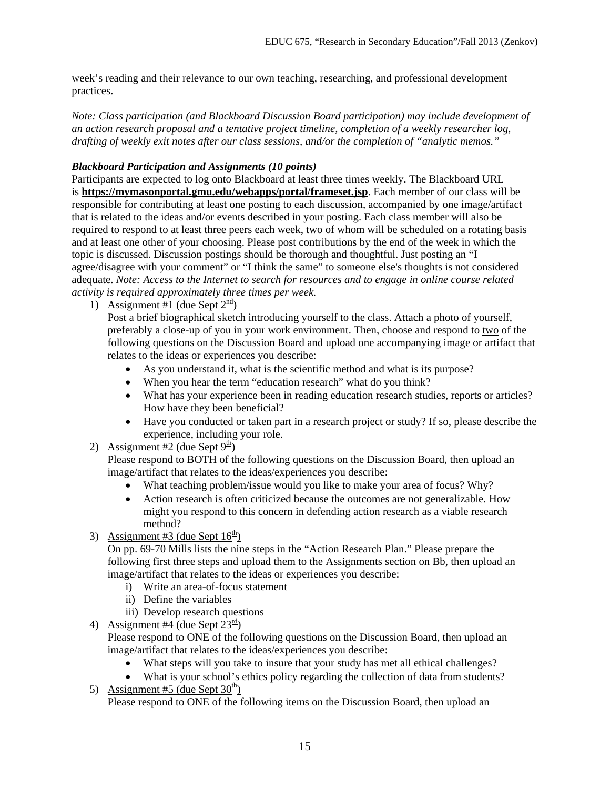week's reading and their relevance to our own teaching, researching, and professional development practices.

*Note: Class participation (and Blackboard Discussion Board participation) may include development of an action research proposal and a tentative project timeline, completion of a weekly researcher log, drafting of weekly exit notes after our class sessions, and/or the completion of "analytic memos."*

### *Blackboard Participation and Assignments (10 points)*

Participants are expected to log onto Blackboard at least three times weekly. The Blackboard URL is **<https://mymasonportal.gmu.edu/webapps/portal/frameset.jsp>**. Each member of our class will be responsible for contributing at least one posting to each discussion, accompanied by one image/artifact that is related to the ideas and/or events described in your posting. Each class member will also be required to respond to at least three peers each week, two of whom will be scheduled on a rotating basis and at least one other of your choosing. Please post contributions by the end of the week in which the topic is discussed. Discussion postings should be thorough and thoughtful. Just posting an "I agree/disagree with your comment" or "I think the same" to someone else's thoughts is not considered adequate. *Note: Access to the Internet to search for resources and to engage in online course related activity is required approximately three times per week.* 

1) Assignment #1 (due Sept  $2^{\frac{nd}{2}}$ )

Post a brief biographical sketch introducing yourself to the class. Attach a photo of yourself, preferably a close-up of you in your work environment. Then, choose and respond to two of the following questions on the Discussion Board and upload one accompanying image or artifact that relates to the ideas or experiences you describe:

- As you understand it, what is the scientific method and what is its purpose?
- When you hear the term "education research" what do you think?
- What has your experience been in reading education research studies, reports or articles? How have they been beneficial?
- Have you conducted or taken part in a research project or study? If so, please describe the experience, including your role.
- 2) Assignment #2 (due Sept  $9<sup>th</sup>$ )

Please respond to BOTH of the following questions on the Discussion Board, then upload an image/artifact that relates to the ideas/experiences you describe:

- What teaching problem/issue would you like to make your area of focus? Why?
- Action research is often criticized because the outcomes are not generalizable. How might you respond to this concern in defending action research as a viable research method?
- 3) Assignment #3 (due Sept  $16<sup>th</sup>$ )

On pp. 69-70 Mills lists the nine steps in the "Action Research Plan." Please prepare the following first three steps and upload them to the Assignments section on Bb, then upload an image/artifact that relates to the ideas or experiences you describe:

- i) Write an area-of-focus statement
- ii) Define the variables
- iii) Develop research questions
- 4) Assignment #4 (due Sept  $23<sup>rd</sup>$ )

Please respond to ONE of the following questions on the Discussion Board, then upload an image/artifact that relates to the ideas/experiences you describe:

- What steps will you take to insure that your study has met all ethical challenges?
- What is your school's ethics policy regarding the collection of data from students? 5) Assignment #5 (due Sept  $30<sup>th</sup>$ )

Please respond to ONE of the following items on the Discussion Board, then upload an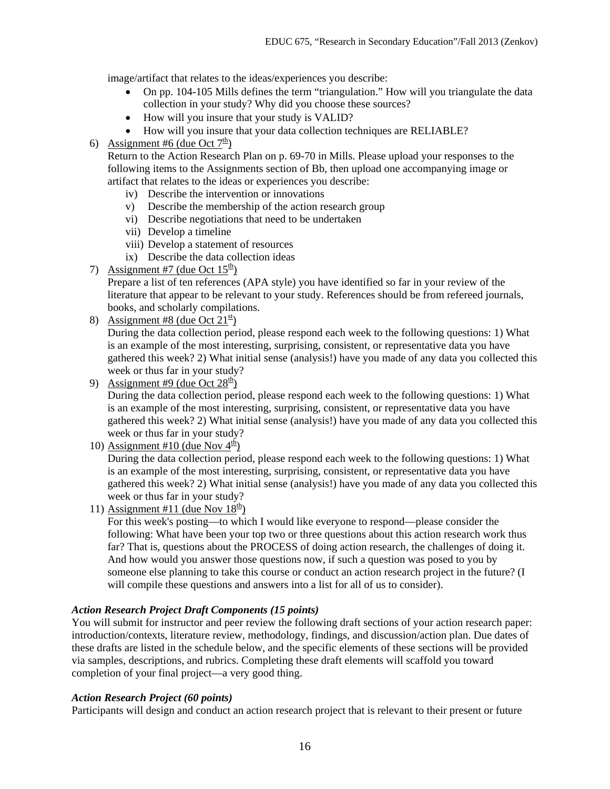image/artifact that relates to the ideas/experiences you describe:

- On pp. 104-105 Mills defines the term "triangulation." How will you triangulate the data collection in your study? Why did you choose these sources?
- How will you insure that your study is VALID?
- How will you insure that your data collection techniques are RELIABLE?

# 6) Assignment #6 (due Oct  $7^{\underline{th}}$ )

Return to the Action Research Plan on p. 69-70 in Mills. Please upload your responses to the following items to the Assignments section of Bb, then upload one accompanying image or artifact that relates to the ideas or experiences you describe:

- iv) Describe the intervention or innovations
- v) Describe the membership of the action research group
- vi) Describe negotiations that need to be undertaken
- vii) Develop a timeline
- viii) Develop a statement of resources
- ix) Describe the data collection ideas
- 7) Assignment #7 (due Oct  $15<sup>th</sup>$ )

Prepare a list of ten references (APA style) you have identified so far in your review of the literature that appear to be relevant to your study. References should be from refereed journals, books, and scholarly compilations.

8) Assignment #8 (due Oct  $21<sup>st</sup>$ )

During the data collection period, please respond each week to the following questions: 1) What is an example of the most interesting, surprising, consistent, or representative data you have gathered this week? 2) What initial sense (analysis!) have you made of any data you collected this week or thus far in your study?

9) Assignment #9 (due Oct  $28<sup>th</sup>$ )

During the data collection period, please respond each week to the following questions: 1) What is an example of the most interesting, surprising, consistent, or representative data you have gathered this week? 2) What initial sense (analysis!) have you made of any data you collected this week or thus far in your study?

10) Assignment #10 (due Nov  $4<sup>th</sup>$ )

During the data collection period, please respond each week to the following questions: 1) What is an example of the most interesting, surprising, consistent, or representative data you have gathered this week? 2) What initial sense (analysis!) have you made of any data you collected this week or thus far in your study?

11) Assignment #11 (due Nov  $18<sup>th</sup>$ )

For this week's posting—to which I would like everyone to respond—please consider the following: What have been your top two or three questions about this action research work thus far? That is, questions about the PROCESS of doing action research, the challenges of doing it. And how would you answer those questions now, if such a question was posed to you by someone else planning to take this course or conduct an action research project in the future? (I will compile these questions and answers into a list for all of us to consider).

## *Action Research Project Draft Components (15 points)*

You will submit for instructor and peer review the following draft sections of your action research paper: introduction/contexts, literature review, methodology, findings, and discussion/action plan. Due dates of these drafts are listed in the schedule below, and the specific elements of these sections will be provided via samples, descriptions, and rubrics. Completing these draft elements will scaffold you toward completion of your final project—a very good thing.

## *Action Research Project (60 points)*

Participants will design and conduct an action research project that is relevant to their present or future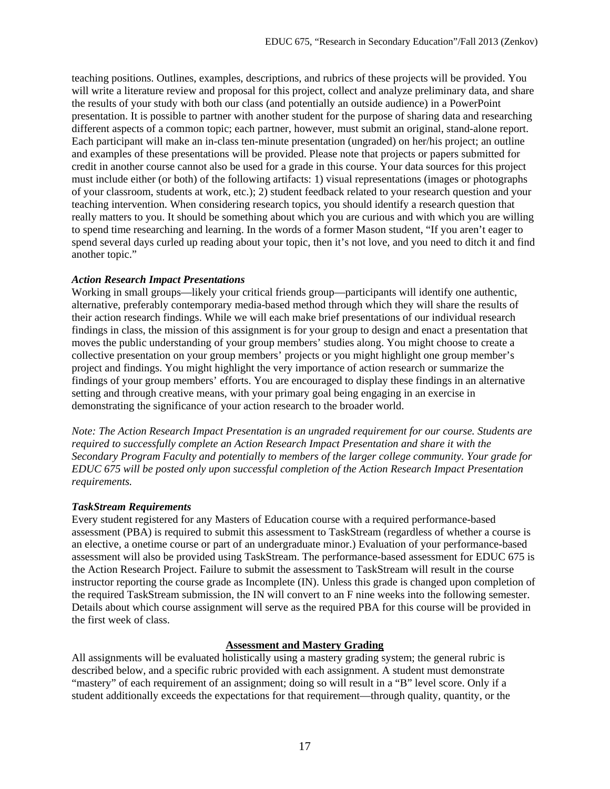teaching positions. Outlines, examples, descriptions, and rubrics of these projects will be provided. You will write a literature review and proposal for this project, collect and analyze preliminary data, and share the results of your study with both our class (and potentially an outside audience) in a PowerPoint presentation. It is possible to partner with another student for the purpose of sharing data and researching different aspects of a common topic; each partner, however, must submit an original, stand-alone report. Each participant will make an in-class ten-minute presentation (ungraded) on her/his project; an outline and examples of these presentations will be provided. Please note that projects or papers submitted for credit in another course cannot also be used for a grade in this course. Your data sources for this project must include either (or both) of the following artifacts: 1) visual representations (images or photographs of your classroom, students at work, etc.); 2) student feedback related to your research question and your teaching intervention. When considering research topics, you should identify a research question that really matters to you. It should be something about which you are curious and with which you are willing to spend time researching and learning. In the words of a former Mason student, "If you aren't eager to spend several days curled up reading about your topic, then it's not love, and you need to ditch it and find another topic."

## *Action Research Impact Presentations*

Working in small groups—likely your critical friends group—participants will identify one authentic, alternative, preferably contemporary media-based method through which they will share the results of their action research findings. While we will each make brief presentations of our individual research findings in class, the mission of this assignment is for your group to design and enact a presentation that moves the public understanding of your group members' studies along. You might choose to create a collective presentation on your group members' projects or you might highlight one group member's project and findings. You might highlight the very importance of action research or summarize the findings of your group members' efforts. You are encouraged to display these findings in an alternative setting and through creative means, with your primary goal being engaging in an exercise in demonstrating the significance of your action research to the broader world.

*Note: The Action Research Impact Presentation is an ungraded requirement for our course. Students are required to successfully complete an Action Research Impact Presentation and share it with the Secondary Program Faculty and potentially to members of the larger college community. Your grade for EDUC 675 will be posted only upon successful completion of the Action Research Impact Presentation requirements.*

## *TaskStream Requirements*

Every student registered for any Masters of Education course with a required performance-based assessment (PBA) is required to submit this assessment to TaskStream (regardless of whether a course is an elective, a onetime course or part of an undergraduate minor.) Evaluation of your performance-based assessment will also be provided using TaskStream. The performance-based assessment for EDUC 675 is the Action Research Project. Failure to submit the assessment to TaskStream will result in the course instructor reporting the course grade as Incomplete (IN). Unless this grade is changed upon completion of the required TaskStream submission, the IN will convert to an F nine weeks into the following semester. Details about which course assignment will serve as the required PBA for this course will be provided in the first week of class.

## **Assessment and Mastery Grading**

All assignments will be evaluated holistically using a mastery grading system; the general rubric is described below, and a specific rubric provided with each assignment. A student must demonstrate "mastery" of each requirement of an assignment; doing so will result in a "B" level score. Only if a student additionally exceeds the expectations for that requirement—through quality, quantity, or the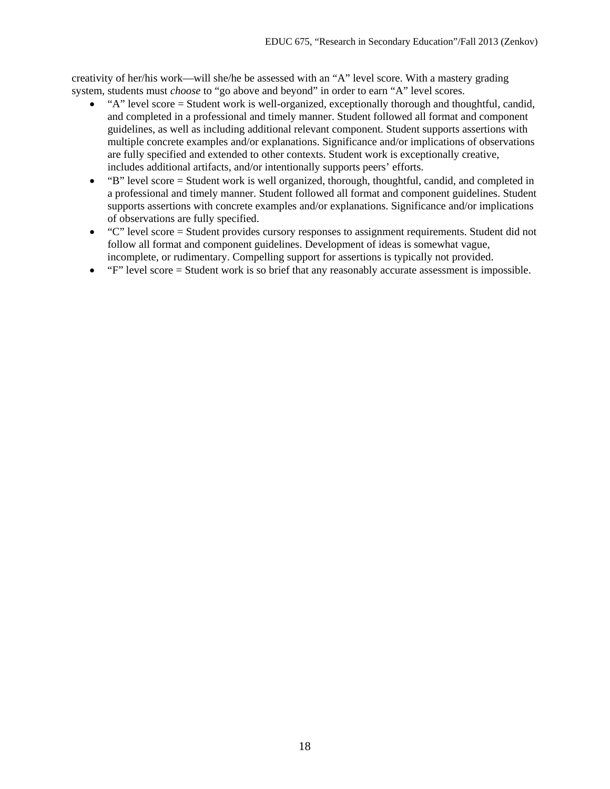creativity of her/his work—will she/he be assessed with an "A" level score. With a mastery grading system, students must *choose* to "go above and beyond" in order to earn "A" level scores.

- "A" level score = Student work is well-organized, exceptionally thorough and thoughtful, candid, and completed in a professional and timely manner. Student followed all format and component guidelines, as well as including additional relevant component. Student supports assertions with multiple concrete examples and/or explanations. Significance and/or implications of observations are fully specified and extended to other contexts. Student work is exceptionally creative, includes additional artifacts, and/or intentionally supports peers' efforts.
- "B" level score = Student work is well organized, thorough, thoughtful, candid, and completed in a professional and timely manner. Student followed all format and component guidelines. Student supports assertions with concrete examples and/or explanations. Significance and/or implications of observations are fully specified.
- "C" level score = Student provides cursory responses to assignment requirements. Student did not follow all format and component guidelines. Development of ideas is somewhat vague, incomplete, or rudimentary. Compelling support for assertions is typically not provided.
- $\bullet$  " $F$ " level score = Student work is so brief that any reasonably accurate assessment is impossible.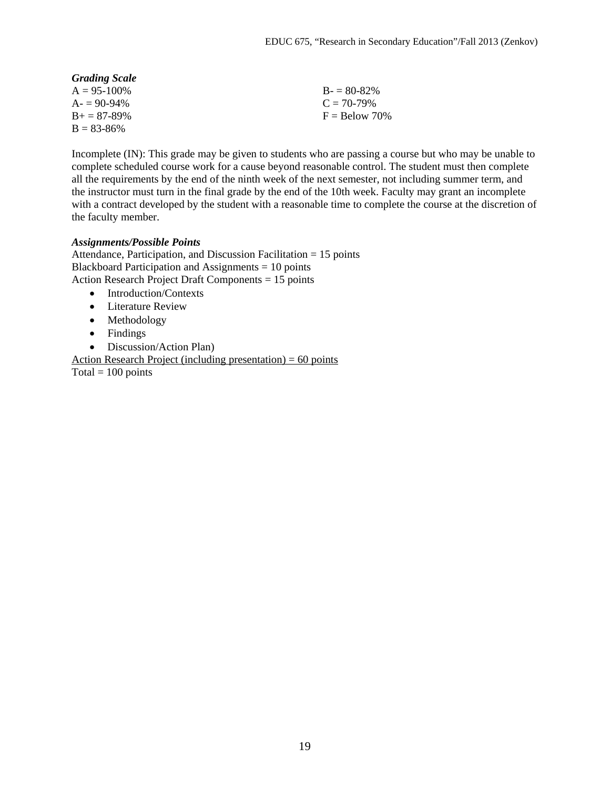| <b>Grading Scale</b> |                 |
|----------------------|-----------------|
| $A = 95 - 100\%$     | $B = 80-82%$    |
| $A = 90-94\%$        | $C = 70-79\%$   |
| $B_{+} = 87 - 89\%$  | $F =$ Below 70% |
| $B = 83 - 86\%$      |                 |

Incomplete (IN): This grade may be given to students who are passing a course but who may be unable to complete scheduled course work for a cause beyond reasonable control. The student must then complete all the requirements by the end of the ninth week of the next semester, not including summer term, and the instructor must turn in the final grade by the end of the 10th week. Faculty may grant an incomplete with a contract developed by the student with a reasonable time to complete the course at the discretion of the faculty member.

#### *Assignments/Possible Points*

Attendance, Participation, and Discussion Facilitation = 15 points Blackboard Participation and Assignments = 10 points Action Research Project Draft Components = 15 points

- Introduction/Contexts
- Literature Review
- Methodology
- Findings
- Discussion/Action Plan)

Action Research Project (including presentation)  $= 60$  points Total =  $100$  points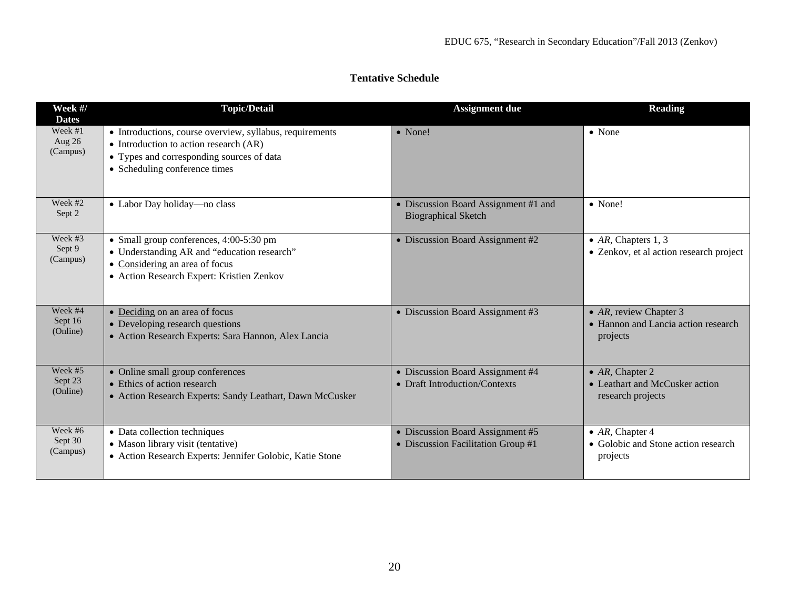| <b>Tentative Schedule</b> |  |
|---------------------------|--|
|---------------------------|--|

| Week #/<br><b>Dates</b>         | <b>Topic/Detail</b>                                                                                                                                                                | <b>Assignment due</b>                                                  | <b>Reading</b>                                                                 |
|---------------------------------|------------------------------------------------------------------------------------------------------------------------------------------------------------------------------------|------------------------------------------------------------------------|--------------------------------------------------------------------------------|
| Week #1<br>Aug 26<br>(Campus)   | • Introductions, course overview, syllabus, requirements<br>• Introduction to action research $(AR)$<br>• Types and corresponding sources of data<br>• Scheduling conference times | $\bullet$ None!                                                        | $\bullet$ None                                                                 |
| Week #2<br>Sept 2               | • Labor Day holiday—no class                                                                                                                                                       | • Discussion Board Assignment #1 and<br><b>Biographical Sketch</b>     | $\bullet$ None!                                                                |
| Week $#3$<br>Sept 9<br>(Campus) | • Small group conferences, 4:00-5:30 pm<br>• Understanding AR and "education research"<br>• Considering an area of focus<br>• Action Research Expert: Kristien Zenkov              | • Discussion Board Assignment #2                                       | • $AR$ , Chapters 1, 3<br>• Zenkov, et al action research project              |
| Week #4<br>Sept 16<br>(Online)  | • Deciding on an area of focus<br>• Developing research questions<br>· Action Research Experts: Sara Hannon, Alex Lancia                                                           | • Discussion Board Assignment #3                                       | • $AR$ , review Chapter 3<br>• Hannon and Lancia action research<br>projects   |
| Week #5<br>Sept 23<br>(Online)  | • Online small group conferences<br>• Ethics of action research<br>• Action Research Experts: Sandy Leathart, Dawn McCusker                                                        | • Discussion Board Assignment #4<br>• Draft Introduction/Contexts      | $\bullet$ AR, Chapter 2<br>• Leathart and McCusker action<br>research projects |
| Week #6<br>Sept 30<br>(Campus)  | • Data collection techniques<br>• Mason library visit (tentative)<br>• Action Research Experts: Jennifer Golobic, Katie Stone                                                      | • Discussion Board Assignment #5<br>• Discussion Facilitation Group #1 | • $AR$ , Chapter 4<br>• Golobic and Stone action research<br>projects          |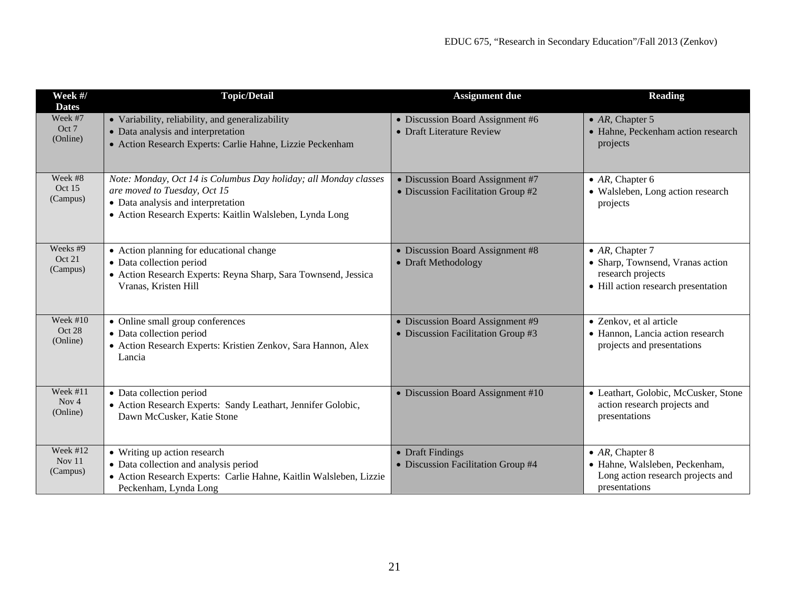| Week #/<br><b>Dates</b>          | <b>Topic/Detail</b>                                                                                                                                                                                | <b>Assignment due</b>                                                  | Reading                                                                                                                 |
|----------------------------------|----------------------------------------------------------------------------------------------------------------------------------------------------------------------------------------------------|------------------------------------------------------------------------|-------------------------------------------------------------------------------------------------------------------------|
| Week #7<br>Oct 7<br>(Online)     | • Variability, reliability, and generalizability<br>• Data analysis and interpretation<br>· Action Research Experts: Carlie Hahne, Lizzie Peckenham                                                | • Discussion Board Assignment #6<br>• Draft Literature Review          | $\bullet$ AR, Chapter 5<br>• Hahne, Peckenham action research<br>projects                                               |
| Week #8<br>Oct 15<br>(Campus)    | Note: Monday, Oct 14 is Columbus Day holiday; all Monday classes<br>are moved to Tuesday, Oct 15<br>• Data analysis and interpretation<br>• Action Research Experts: Kaitlin Walsleben, Lynda Long | • Discussion Board Assignment #7<br>• Discussion Facilitation Group #2 | • $AR$ , Chapter 6<br>• Walsleben, Long action research<br>projects                                                     |
| Weeks #9<br>Oct 21<br>(Campus)   | • Action planning for educational change<br>• Data collection period<br>· Action Research Experts: Reyna Sharp, Sara Townsend, Jessica<br>Vranas, Kristen Hill                                     | • Discussion Board Assignment #8<br>• Draft Methodology                | $\bullet$ AR, Chapter 7<br>• Sharp, Townsend, Vranas action<br>research projects<br>• Hill action research presentation |
| Week $#10$<br>Oct 28<br>(Online) | • Online small group conferences<br>• Data collection period<br>• Action Research Experts: Kristien Zenkov, Sara Hannon, Alex<br>Lancia                                                            | • Discussion Board Assignment #9<br>• Discussion Facilitation Group #3 | • Zenkov, et al article<br>• Hannon, Lancia action research<br>projects and presentations                               |
| Week #11<br>Nov $4$<br>(Online)  | • Data collection period<br>• Action Research Experts: Sandy Leathart, Jennifer Golobic,<br>Dawn McCusker, Katie Stone                                                                             | • Discussion Board Assignment #10                                      | • Leathart, Golobic, McCusker, Stone<br>action research projects and<br>presentations                                   |
| Week #12<br>Nov 11<br>(Campus)   | • Writing up action research<br>• Data collection and analysis period<br>· Action Research Experts: Carlie Hahne, Kaitlin Walsleben, Lizzie<br>Peckenham, Lynda Long                               | • Draft Findings<br>• Discussion Facilitation Group #4                 | • $AR$ , Chapter 8<br>· Hahne, Walsleben, Peckenham,<br>Long action research projects and<br>presentations              |